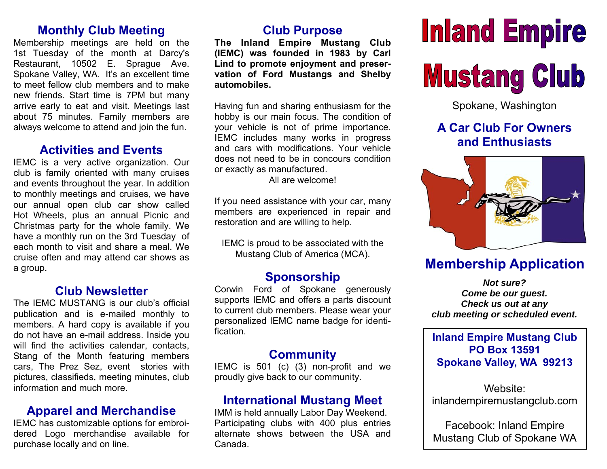# **Monthly Club Meeting**

Membership meetings are held on the 1st Tuesday of the month at Darcy's Restaurant, 10502 E. Sprague Ave. Spokane Valley, WA. It's an excellent time to meet fellow club members and to make new friends. Start time is 7PM but many arrive early to eat and visit. Meetings last about 75 minutes. Family members are always welcome to attend and join the fun.

#### **Activities and Events**

IEMC is a very active organization. Our club is family oriented with many cruises and events throughout the year. In addition to monthly meetings and cruises, we have our annual open club car show called Hot Wheels, plus an annual Picnic and Christmas party for the whole family. We have a monthly run on the 3rd Tuesday of each month to visit and share a meal. We cruise often and may attend car shows as a group.

# **Club Newsletter**

The IEMC MUSTANG is our club's official publication and is e-mailed monthly to members. A hard copy is available if you do not have an e-mail address. Inside you will find the activities calendar, contacts, Stang of the Month featuring members cars, The Prez Sez, event stories with pictures, classifieds, meeting minutes, club information and much more.

# **Apparel and Merchandise**

IEMC has customizable options for embroidered Logo merchandise available for purchase locally and on line.

# **Club Purpose**

**The Inland Empire Mustang Club (IEMC) was founded in 1983 by Carl Lind to promote enjoyment and preservation of Ford Mustangs and Shelby automobiles.** 

Having fun and sharing enthusiasm for the hobby is our main focus. The condition of your vehicle is not of prime importance. IEMC includes many works in progress and cars with modifications. Your vehicle does not need to be in concours condition or exactly as manufactured.

All are welcome!

If you need assistance with your car, many members are experienced in repair and restoration and are willing to help.

IEMC is proud to be associated with the Mustang Club of America (MCA).

## **Sponsorship**

Corwin Ford of Spokane generously supports IEMC and offers a parts discount to current club members. Please wear your personalized IEMC name badge for identification.

## **Community**

IEMC is 501 (c) (3) non-profit and we proudly give back to our community.

# **International Mustang Meet**

IMM is held annually Labor Day Weekend. Participating clubs with 400 plus entries alternate shows between the USA and Canada.

# **Inland Empire Mustang Club**

Spokane, Washington

# **A Car Club For Owners and Enthusiasts**



# **Membership Application**

*Not sure? Come be our guest. Check us out at any club meeting or scheduled event.* 

#### **Inland Empire Mustang Club PO Box 13591 Spokane Valley, WA 99213**

Website: inlandempiremustangclub.com

Facebook: Inland Empire Mustang Club of Spokane WA